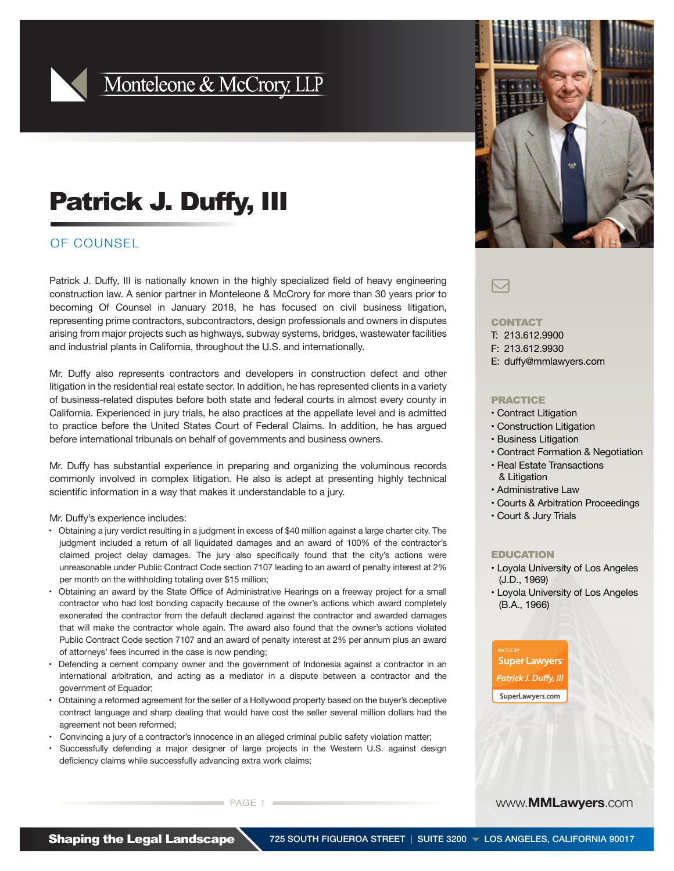

## Monteleone & McCrory, LLP

# Patrick J. Duffy, III

### OF COUNSEL

Patrick J. Duffy, III is nationally known in the highly specialized field of heavy engineering construction law. A senior partner in Monteleone & McCrory for more than 30 years prior to becoming Of Counsel in January 2018, he has focused on civil business litigation, representing prime contractors, subcontractors, design professionals and owners in disputes arising from major projects such as highways, subway systems, bridges, wastewater facilities and industrial plants in California, throughout the U.S. and internationally.

Mr. Duffy also represents contractors and developers in construction defect and other litigation in the residential real estate sector. In addition, he has represented clients in a variety of business-related disputes before both state and federal courts in almost every county in California. Experienced in jury trials, he also practices at the appellate level and is admitted to practice before the United States Court of Federal Claims. In addition, he has argued before international tribunals on behalf of governments and business owners.

Mr. Duffy has substantial experience in preparing and organizing the voluminous records commonly involved in complex litigation. He also is adept at presenting highly technical scientific information in a way that makes it understandable to a jury.

Mr. Duffy's experience includes:

- Obtaining a jury verdict resulting in a judgment in excess of \$40 million against a large charter city. The judgment included a return of all liquidated damages and an award of 100% of the contractor's claimed project delay damages. The jury also specifically found that the city's actions were unreasonable under Public Contract Code section 7107 leading to an award of penalty interest at 2% per month on the withholding totaling over \$15 million;
- Obtaining an award by the State Office of Administrative Hearings on a freeway project for a small contractor who had lost bonding capacity because of the owner's actions which award completely exonerated the contractor from the default declared against the contractor and awarded damages that will make the contractor whole again. The award also found that the owner's actions violated Public Contract Code section 7107 and an award of penalty interest at 2% per annum plus an award of attorneys' fees incurred in the case is now pending;
- Defending a cement company owner and the government of Indonesia against a contractor in an international arbitration, and acting as a mediator in a dispute between a contractor and the government of Equador;
- Obtaining a reformed agreement for the seller of a Hollywood property based on the buyer's deceptive contract language and sharp dealing that would have cost the seller several million dollars had the agreement not been reformed;
- Convincing a jury of a contractor's innocence in an alleged criminal public safety violation matter;
- Successfully defending a major designer of large projects in the Western U.S. against design deficiency claims while successfully advancing extra work claims;

### $\boxdot$

#### **CONTACT**

T: 213.612.9900

- F: 213.612.9930
- E: duffy@mmlawyers.com

#### PRACTICE

- Contract Litigation
- Construction Litigation
- Business Litigation
- Contract Formation & Negotiation
- Real Estate Transactions & Litigation
- Administrative Law
- Courts & Arbitration Proceedings
- Court & Jury Trials

#### EDUCATION

- Loyola University of Los Angeles (J.D., 1969)
- Loyola University of Los Angeles (B.A., 1966)

www.**MMLawyers**.com

**Super Lawyers Patrick J. Duffy, III** SuperLawyers.com